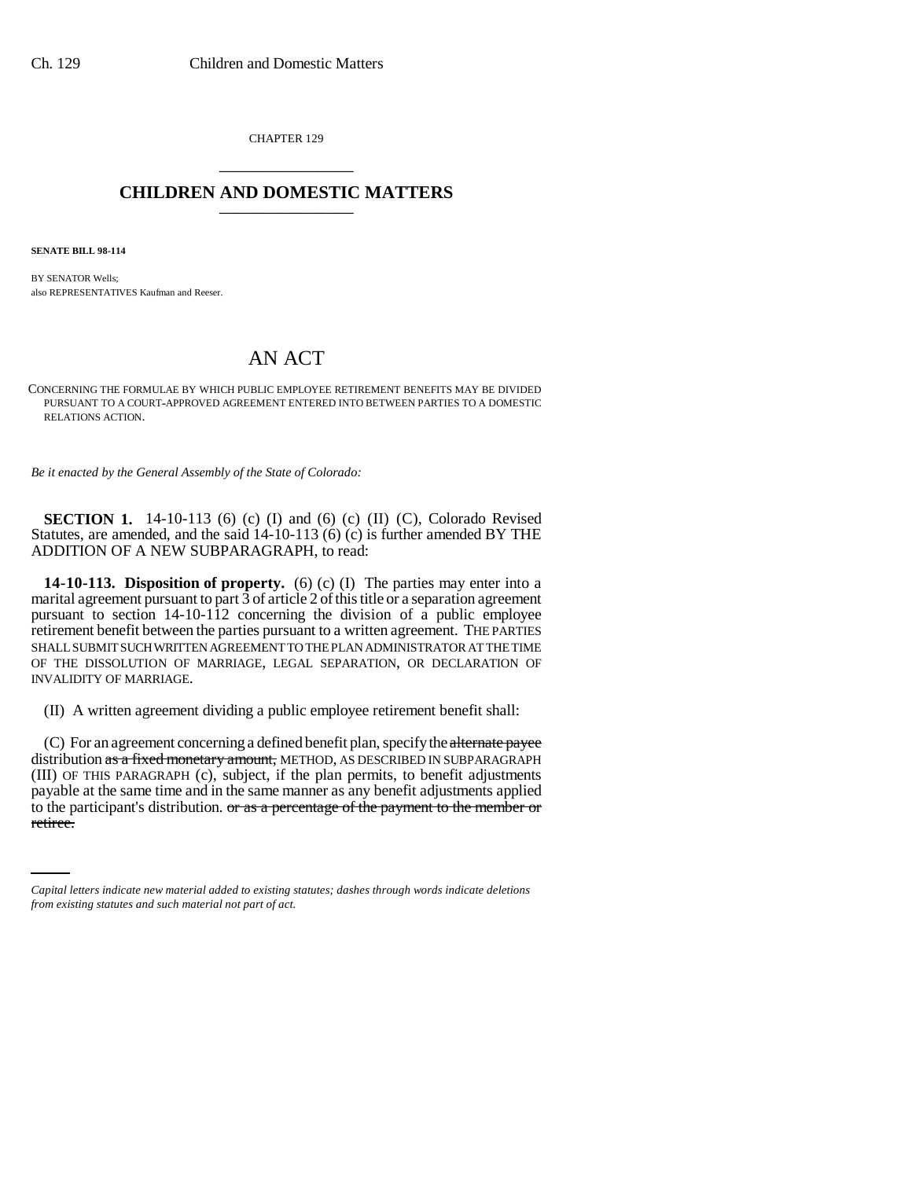CHAPTER 129 \_\_\_\_\_\_\_\_\_\_\_\_\_\_\_

## **CHILDREN AND DOMESTIC MATTERS** \_\_\_\_\_\_\_\_\_\_\_\_\_\_\_

**SENATE BILL 98-114**

BY SENATOR Wells; also REPRESENTATIVES Kaufman and Reeser.

## AN ACT

CONCERNING THE FORMULAE BY WHICH PUBLIC EMPLOYEE RETIREMENT BENEFITS MAY BE DIVIDED PURSUANT TO A COURT-APPROVED AGREEMENT ENTERED INTO BETWEEN PARTIES TO A DOMESTIC RELATIONS ACTION.

*Be it enacted by the General Assembly of the State of Colorado:*

**SECTION 1.** 14-10-113 (6) (c) (I) and (6) (c) (II) (C), Colorado Revised Statutes, are amended, and the said 14-10-113 (6) (c) is further amended BY THE ADDITION OF A NEW SUBPARAGRAPH, to read:

**14-10-113. Disposition of property.** (6) (c) (I) The parties may enter into a marital agreement pursuant to part 3 of article 2 of this title or a separation agreement pursuant to section 14-10-112 concerning the division of a public employee retirement benefit between the parties pursuant to a written agreement. THE PARTIES SHALL SUBMIT SUCH WRITTEN AGREEMENT TO THE PLAN ADMINISTRATOR AT THE TIME OF THE DISSOLUTION OF MARRIAGE, LEGAL SEPARATION, OR DECLARATION OF INVALIDITY OF MARRIAGE.

(II) A written agreement dividing a public employee retirement benefit shall:

payable at the same time and in the same manner as any benefit adjustments applied (C) For an agreement concerning a defined benefit plan, specify the alternate payee distribution as a fixed monetary amount, METHOD, AS DESCRIBED IN SUBPARAGRAPH (III) OF THIS PARAGRAPH (c), subject, if the plan permits, to benefit adjustments to the participant's distribution. or as a percentage of the payment to the member or retiree.

*Capital letters indicate new material added to existing statutes; dashes through words indicate deletions from existing statutes and such material not part of act.*